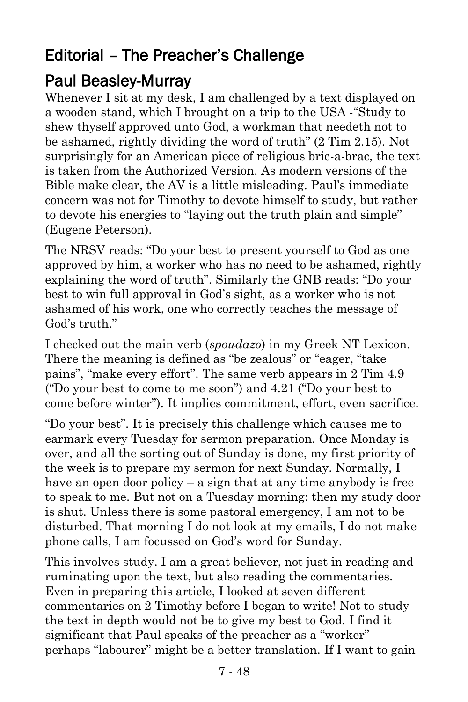## Editorial – The Preacher's Challenge

## Paul Beasley-Murray

Whenever I sit at my desk, I am challenged by a text displayed on a wooden stand, which I brought on a trip to the USA -"Study to shew thyself approved unto God, a workman that needeth not to be ashamed, rightly dividing the word of truth" (2 Tim 2.15). Not surprisingly for an American piece of religious bric-a-brac, the text is taken from the Authorized Version. As modern versions of the Bible make clear, the AV is a little misleading. Paul's immediate concern was not for Timothy to devote himself to study, but rather to devote his energies to "laying out the truth plain and simple" (Eugene Peterson).

The NRSV reads: "Do your best to present yourself to God as one approved by him, a worker who has no need to be ashamed, rightly explaining the word of truth". Similarly the GNB reads: "Do your best to win full approval in God's sight, as a worker who is not ashamed of his work, one who correctly teaches the message of God's truth."

I checked out the main verb (*spoudazo*) in my Greek NT Lexicon. There the meaning is defined as "be zealous" or "eager, "take pains", "make every effort". The same verb appears in 2 Tim 4.9 ("Do your best to come to me soon") and 4.21 ("Do your best to come before winter"). It implies commitment, effort, even sacrifice.

"Do your best". It is precisely this challenge which causes me to earmark every Tuesday for sermon preparation. Once Monday is over, and all the sorting out of Sunday is done, my first priority of the week is to prepare my sermon for next Sunday. Normally, I have an open door policy – a sign that at any time anybody is free to speak to me. But not on a Tuesday morning: then my study door is shut. Unless there is some pastoral emergency, I am not to be disturbed. That morning I do not look at my emails, I do not make phone calls, I am focussed on God's word for Sunday.

This involves study. I am a great believer, not just in reading and ruminating upon the text, but also reading the commentaries. Even in preparing this article, I looked at seven different commentaries on 2 Timothy before I began to write! Not to study the text in depth would not be to give my best to God. I find it significant that Paul speaks of the preacher as a "worker" – perhaps "labourer" might be a better translation. If I want to gain